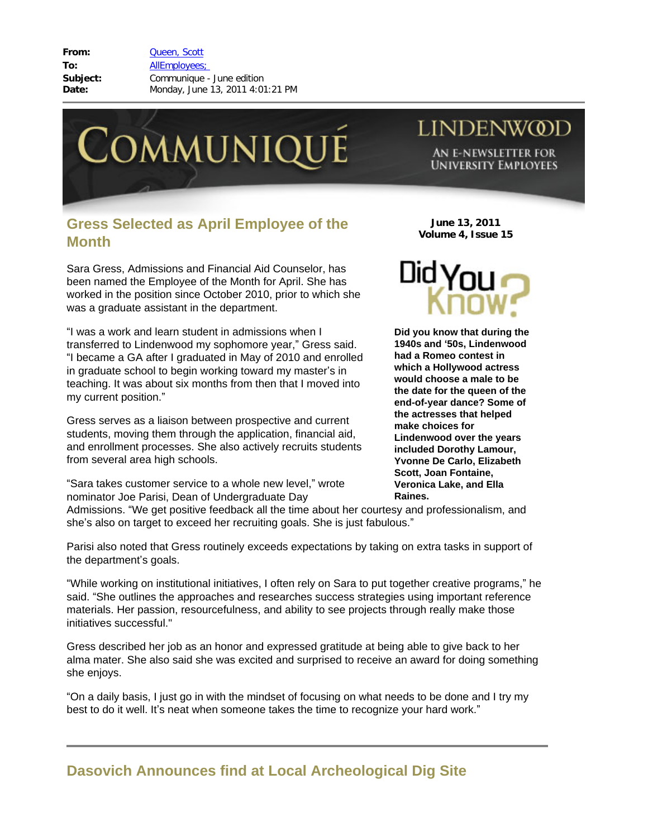**From:** [Queen, Scott](mailto:/O=LINDENWOOD UNIVERSITY/OU=LINDENWOOD/CN=RECIPIENTS/CN=SQUEEN) **To:** [AllEmployees;](mailto:/O=LINDENWOOD UNIVERSITY/OU=LINDENWOOD/cn=Recipients/cn=allemployees)  **Subject:** Communique - June edition **Date:** Monday, June 13, 2011 4:01:21 PM



## **Gress Selected as April Employee of the Month**

Sara Gress, Admissions and Financial Aid Counselor, has been named the Employee of the Month for April. She has worked in the position since October 2010, prior to which she was a graduate assistant in the department.

"I was a work and learn student in admissions when I transferred to Lindenwood my sophomore year," Gress said. "I became a GA after I graduated in May of 2010 and enrolled in graduate school to begin working toward my master's in teaching. It was about six months from then that I moved into my current position."

Gress serves as a liaison between prospective and current students, moving them through the application, financial aid, and enrollment processes. She also actively recruits students from several area high schools.

"Sara takes customer service to a whole new level," wrote nominator Joe Parisi, Dean of Undergraduate Day

**June 13, 2011 Volume 4, Issue 15**

**LINDENWOD** 

AN E-NEWSLETTER FOR **UNIVERSITY EMPLOYEES** 



**Did you know that during the 1940s and '50s, Lindenwood had a Romeo contest in which a Hollywood actress would choose a male to be the date for the queen of the end-of-year dance? Some of the actresses that helped make choices for Lindenwood over the years included Dorothy Lamour, Yvonne De Carlo, Elizabeth Scott, Joan Fontaine, Veronica Lake, and Ella Raines.** 

Admissions. "We get positive feedback all the time about her courtesy and professionalism, and she's also on target to exceed her recruiting goals. She is just fabulous."

Parisi also noted that Gress routinely exceeds expectations by taking on extra tasks in support of the department's goals.

"While working on institutional initiatives, I often rely on Sara to put together creative programs," he said. "She outlines the approaches and researches success strategies using important reference materials. Her passion, resourcefulness, and ability to see projects through really make those initiatives successful."

Gress described her job as an honor and expressed gratitude at being able to give back to her alma mater. She also said she was excited and surprised to receive an award for doing something she enjoys.

"On a daily basis, I just go in with the mindset of focusing on what needs to be done and I try my best to do it well. It's neat when someone takes the time to recognize your hard work."

**Dasovich Announces find at Local Archeological Dig Site**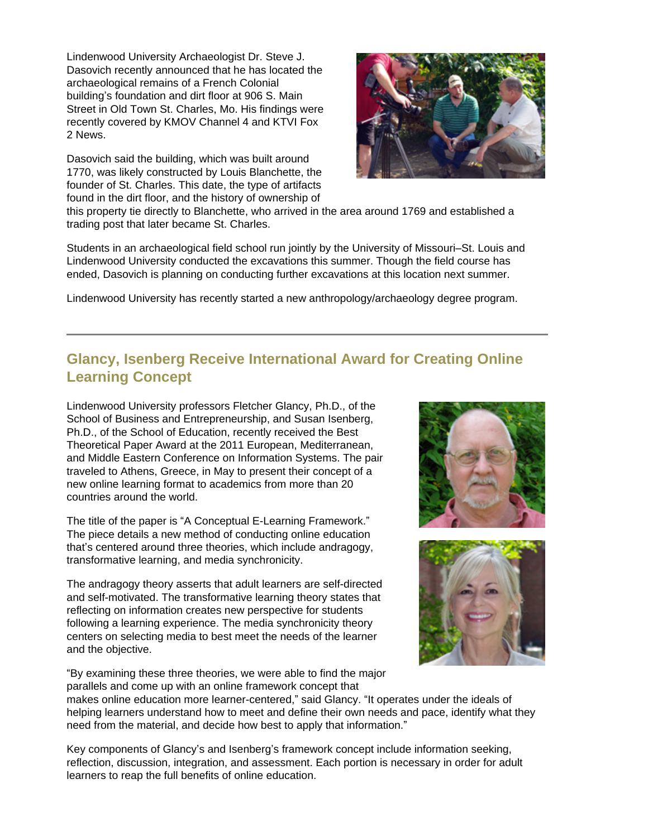Lindenwood University Archaeologist Dr. Steve J. Dasovich recently announced that he has located the archaeological remains of a French Colonial building's foundation and dirt floor at 906 S. Main Street in Old Town St. Charles, Mo. His findings were recently covered by KMOV Channel 4 and KTVI Fox 2 News.

Dasovich said the building, which was built around 1770, was likely constructed by Louis Blanchette, the founder of St. Charles. This date, the type of artifacts found in the dirt floor, and the history of ownership of



this property tie directly to Blanchette, who arrived in the area around 1769 and established a trading post that later became St. Charles.

Students in an archaeological field school run jointly by the University of Missouri–St. Louis and Lindenwood University conducted the excavations this summer. Though the field course has ended, Dasovich is planning on conducting further excavations at this location next summer.

Lindenwood University has recently started a new anthropology/archaeology degree program.

## **Glancy, Isenberg Receive International Award for Creating Online Learning Concept**

Lindenwood University professors Fletcher Glancy, Ph.D., of the School of Business and Entrepreneurship, and Susan Isenberg, Ph.D., of the School of Education, recently received the Best Theoretical Paper Award at the 2011 European, Mediterranean, and Middle Eastern Conference on Information Systems. The pair traveled to Athens, Greece, in May to present their concept of a new online learning format to academics from more than 20 countries around the world.

The title of the paper is "A Conceptual E-Learning Framework." The piece details a new method of conducting online education that's centered around three theories, which include andragogy, transformative learning, and media synchronicity.

The andragogy theory asserts that adult learners are self-directed and self-motivated. The transformative learning theory states that reflecting on information creates new perspective for students following a learning experience. The media synchronicity theory centers on selecting media to best meet the needs of the learner and the objective.



"By examining these three theories, we were able to find the major parallels and come up with an online framework concept that

makes online education more learner-centered," said Glancy. "It operates under the ideals of helping learners understand how to meet and define their own needs and pace, identify what they need from the material, and decide how best to apply that information."

Key components of Glancy's and Isenberg's framework concept include information seeking, reflection, discussion, integration, and assessment. Each portion is necessary in order for adult learners to reap the full benefits of online education.